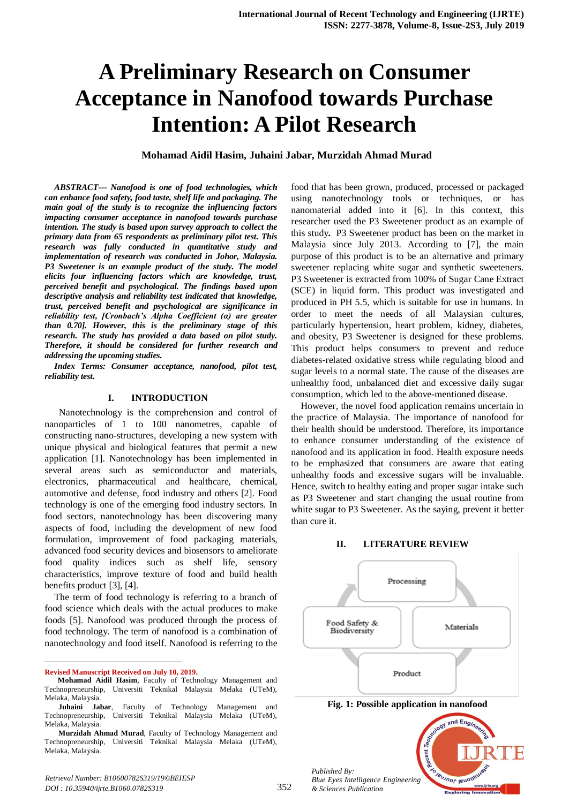# **A Preliminary Research on Consumer Acceptance in Nanofood towards Purchase Intention: A Pilot Research**

### **Mohamad Aidil Hasim, Juhaini Jabar, Murzidah Ahmad Murad**

*ABSTRACT--- Nanofood is one of food technologies, which can enhance food safety, food taste, shelf life and packaging. The main goal of the study is to recognize the influencing factors impacting consumer acceptance in nanofood towards purchase intention. The study is based upon survey approach to collect the primary data from 65 respondents as preliminary pilot test. This research was fully conducted in quantitative study and implementation of research was conducted in Johor, Malaysia. P3 Sweetener is an example product of the study. The model elicits four influencing factors which are knowledge, trust, perceived benefit and psychological. The findings based upon descriptive analysis and reliability test indicated that knowledge, trust, perceived benefit and psychological are significance in reliability test, [Cronbach's Alpha Coefficient (α) are greater than 0.70]. However, this is the preliminary stage of this research. The study has provided a data based on pilot study. Therefore, it should be considered for further research and addressing the upcoming studies.*

*Index Terms: Consumer acceptance, nanofood, pilot test, reliability test.*

#### **I. INTRODUCTION**

 Nanotechnology is the comprehension and control of nanoparticles of 1 to 100 nanometres, capable of constructing nano-structures, developing a new system with unique physical and biological features that permit a new application [1]. Nanotechnology has been implemented in several areas such as semiconductor and materials, electronics, pharmaceutical and healthcare, chemical, automotive and defense, food industry and others [2]. Food technology is one of the emerging food industry sectors. In food sectors, nanotechnology has been discovering many aspects of food, including the development of new food formulation, improvement of food packaging materials, advanced food security devices and biosensors to ameliorate food quality indices such as shelf life, sensory characteristics, improve texture of food and build health benefits product [3], [4].

The term of food technology is referring to a branch of food science which deals with the actual produces to make foods [5]. Nanofood was produced through the process of food technology. The term of nanofood is a combination of nanotechnology and food itself. Nanofood is referring to the

**Revised Manuscript Received on July 10, 2019.**

 $\ddot{\phantom{a}}$ 

food that has been grown, produced, processed or packaged using nanotechnology tools or techniques, or has nanomaterial added into it [6]. In this context, this researcher used the P3 Sweetener product as an example of this study**.** P3 Sweetener product has been on the market in Malaysia since July 2013. According to [7], the main purpose of this product is to be an alternative and primary sweetener replacing white sugar and synthetic sweeteners. P3 Sweetener is extracted from 100% of Sugar Cane Extract (SCE) in liquid form. This product was investigated and produced in PH 5.5, which is suitable for use in humans. In order to meet the needs of all Malaysian cultures, particularly hypertension, heart problem, kidney, diabetes, and obesity, P3 Sweetener is designed for these problems. This product helps consumers to prevent and reduce diabetes-related oxidative stress while regulating blood and sugar levels to a normal state. The cause of the diseases are unhealthy food, unbalanced diet and excessive daily sugar consumption, which led to the above-mentioned disease.

However, the novel food application remains uncertain in the practice of Malaysia. The importance of nanofood for their health should be understood. Therefore, its importance to enhance consumer understanding of the existence of nanofood and its application in food. Health exposure needs to be emphasized that consumers are aware that eating unhealthy foods and excessive sugars will be invaluable. Hence, switch to healthy eating and proper sugar intake such as P3 Sweetener and start changing the usual routine from white sugar to P3 Sweetener. As the saying, prevent it better than cure it.

#### **II. LITERATURE REVIEW**



cent

**IBUJNOF IBUO** 

*Published By: Blue Eyes Intelligence Engineering & Sciences Publication* 

**Mohamad Aidil Hasim**, Faculty of Technology Management and Technopreneurship, Universiti Teknikal Malaysia Melaka (UTeM), Melaka, Malaysia.

**Juhaini Jabar**, Faculty of Technology Management and Technopreneurship, Universiti Teknikal Malaysia Melaka (UTeM), Melaka, Malaysia.

**Murzidah Ahmad Murad**, Faculty of Technology Management and Technopreneurship, Universiti Teknikal Malaysia Melaka (UTeM), Melaka, Malaysia.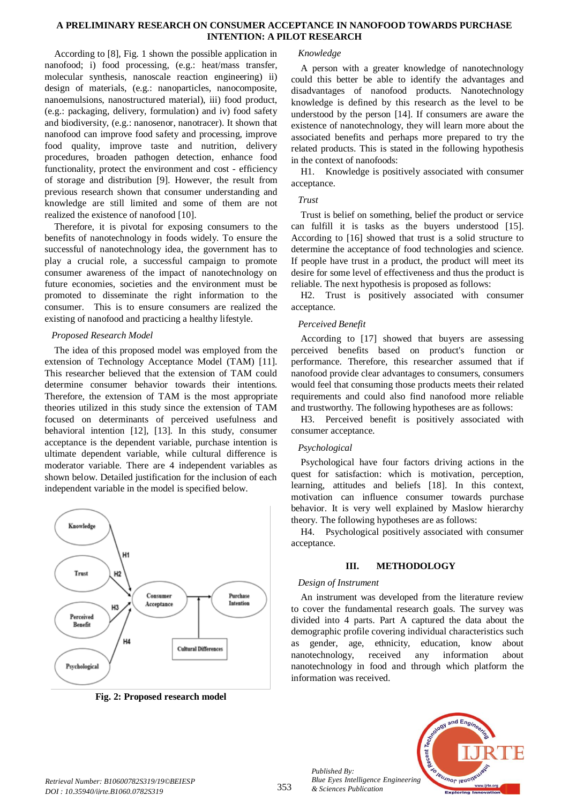#### **A PRELIMINARY RESEARCH ON CONSUMER ACCEPTANCE IN NANOFOOD TOWARDS PURCHASE INTENTION: A PILOT RESEARCH**

According to [8], Fig. 1 shown the possible application in nanofood; i) food processing, (e.g.: heat/mass transfer, molecular synthesis, nanoscale reaction engineering) ii) design of materials, (e.g.: nanoparticles, nanocomposite, nanoemulsions, nanostructured material), iii) food product, (e.g.: packaging, delivery, formulation) and iv) food safety and biodiversity, (e.g.: nanosenor, nanotracer). It shown that nanofood can improve food safety and processing, improve food quality, improve taste and nutrition, delivery procedures, broaden pathogen detection, enhance food functionality, protect the environment and cost - efficiency of storage and distribution [9]. However, the result from previous research shown that consumer understanding and knowledge are still limited and some of them are not realized the existence of nanofood [10].

Therefore, it is pivotal for exposing consumers to the benefits of nanotechnology in foods widely. To ensure the successful of nanotechnology idea, the government has to play a crucial role, a successful campaign to promote consumer awareness of the impact of nanotechnology on future economies, societies and the environment must be promoted to disseminate the right information to the consumer. This is to ensure consumers are realized the existing of nanofood and practicing a healthy lifestyle.

# *Proposed Research Model*

The idea of this proposed model was employed from the extension of Technology Acceptance Model (TAM) [11]. This researcher believed that the extension of TAM could determine consumer behavior towards their intentions. Therefore, the extension of TAM is the most appropriate theories utilized in this study since the extension of TAM focused on determinants of perceived usefulness and behavioral intention [12], [13]. In this study, consumer acceptance is the dependent variable, purchase intention is ultimate dependent variable, while cultural difference is moderator variable. There are 4 independent variables as shown below. Detailed justification for the inclusion of each independent variable in the model is specified below.



**Fig. 2: Proposed research model**

#### *Knowledge*

A person with a greater knowledge of nanotechnology could this better be able to identify the advantages and disadvantages of nanofood products. Nanotechnology knowledge is defined by this research as the level to be understood by the person [14]. If consumers are aware the existence of nanotechnology, they will learn more about the associated benefits and perhaps more prepared to try the related products. This is stated in the following hypothesis in the context of nanofoods:

H1. Knowledge is positively associated with consumer acceptance.

### *Trust*

Trust is belief on something, belief the product or service can fulfill it is tasks as the buyers understood [15]. According to [16] showed that trust is a solid structure to determine the acceptance of food technologies and science. If people have trust in a product, the product will meet its desire for some level of effectiveness and thus the product is reliable. The next hypothesis is proposed as follows:

H2. Trust is positively associated with consumer acceptance.

# *Perceived Benefit*

According to [17] showed that buyers are assessing perceived benefits based on product's function or performance. Therefore, this researcher assumed that if nanofood provide clear advantages to consumers, consumers would feel that consuming those products meets their related requirements and could also find nanofood more reliable and trustworthy. The following hypotheses are as follows:

H3. Perceived benefit is positively associated with consumer acceptance.

# *Psychological*

Psychological have four factors driving actions in the quest for satisfaction: which is motivation, perception, learning, attitudes and beliefs [18]. In this context, motivation can influence consumer towards purchase behavior. It is very well explained by Maslow hierarchy theory. The following hypotheses are as follows:

H4. Psychological positively associated with consumer acceptance.

#### **III. METHODOLOGY**

# *Design of Instrument*

*Published By:*

*& Sciences Publication* 

An instrument was developed from the literature review to cover the fundamental research goals. The survey was divided into 4 parts. Part A captured the data about the demographic profile covering individual characteristics such as gender, age, ethnicity, education, know about nanotechnology, received any information about nanotechnology in food and through which platform the information was received.

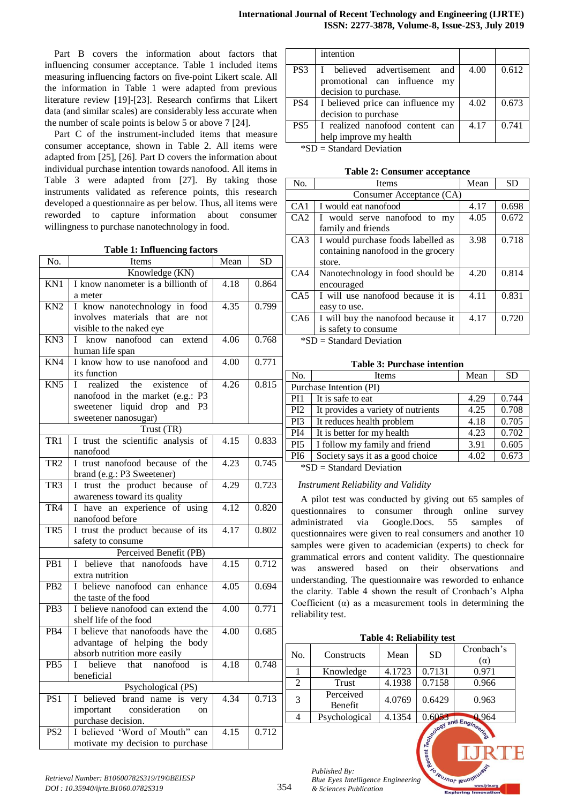Part B covers the information about factors that influencing consumer acceptance. Table 1 included items measuring influencing factors on five-point Likert scale. All the information in Table 1 were adapted from previous literature review [19]-[23]. Research confirms that Likert data (and similar scales) are considerably less accurate when the number of scale points is below 5 or above 7 [24].

Part C of the instrument-included items that measure consumer acceptance, shown in Table 2. All items were adapted from [25], [26]. Part D covers the information about individual purchase intention towards nanofood. All items in Table 3 were adapted from [27]. By taking those instruments validated as reference points, this research developed a questionnaire as per below. Thus, all items were reworded to capture information about consumer willingness to purchase nanotechnology in food.

**Table 1: Influencing factors**

| No.              | Items                                                | Mean              | <b>SD</b> |  |  |
|------------------|------------------------------------------------------|-------------------|-----------|--|--|
|                  | Knowledge (KN)                                       |                   |           |  |  |
| KN1              | I know nanometer is a billionth of                   | 4.18              | 0.864     |  |  |
|                  | a meter                                              |                   |           |  |  |
| $\overline{KN2}$ | I know nanotechnology in food                        | 4.35              | 0.799     |  |  |
|                  | involves materials that are not                      |                   |           |  |  |
|                  | visible to the naked eye                             |                   |           |  |  |
| KN <sub>3</sub>  | I know nanofood can extend                           | 4.06              | 0.768     |  |  |
|                  | human life span                                      |                   |           |  |  |
| $\overline{KN4}$ | I know how to use nanofood and                       | 4.00              | 0.771     |  |  |
|                  | its function                                         |                   |           |  |  |
| KN <sub>5</sub>  | existence<br>realized<br>the<br>L<br>of              | 4.26              | 0.815     |  |  |
|                  | nanofood in the market (e.g.: P3                     |                   |           |  |  |
|                  | sweetener liquid drop and<br>P <sub>3</sub>          |                   |           |  |  |
|                  | sweetener nanosugar)                                 |                   |           |  |  |
|                  | Trust (TR)                                           |                   |           |  |  |
| TR <sub>1</sub>  | I trust the scientific analysis of                   | 4.15              | 0.833     |  |  |
|                  | nanofood                                             |                   |           |  |  |
| TR <sub>2</sub>  | I trust nanofood because of the                      | 4.23              | 0.745     |  |  |
|                  | brand (e.g.: P3 Sweetener)                           |                   |           |  |  |
| TR <sub>3</sub>  | I trust the product because of                       | 4.29              | 0.723     |  |  |
|                  | awareness toward its quality                         |                   |           |  |  |
| TR4              | I have an experience of using                        | 4.12              | 0.820     |  |  |
|                  | nanofood before                                      |                   |           |  |  |
| TR5              | I trust the product because of its                   | 4.17              | 0.802     |  |  |
|                  | safety to consume                                    |                   |           |  |  |
|                  | Perceived Benefit (PB)                               |                   |           |  |  |
| PB1              | I believe that nanofoods have                        | 4.15              | 0.712     |  |  |
|                  | extra nutrition                                      |                   |           |  |  |
| PB <sub>2</sub>  | I believe nanofood can enhance                       | 4.05              | 0.694     |  |  |
|                  | the taste of the food                                |                   |           |  |  |
| PB <sub>3</sub>  | I believe nanofood can extend the                    | $\overline{4.00}$ | 0.771     |  |  |
|                  | shelf life of the food                               |                   |           |  |  |
| PB4              | I believe that nanofoods have the                    | $\overline{4.00}$ | 0.685     |  |  |
|                  | advantage of helping the body                        |                   |           |  |  |
|                  | absorb nutrition more easily                         |                   |           |  |  |
| P <sub>B5</sub>  | believe that nanofood<br>is<br>L                     | 4.18              | 0.748     |  |  |
|                  | beneficial                                           |                   |           |  |  |
|                  | Psychological (PS)                                   |                   |           |  |  |
| PS1              | I believed brand name is very                        | 4.34              | 0.713     |  |  |
|                  | important consideration<br>on                        |                   |           |  |  |
|                  | purchase decision.<br>I believed 'Word of Mouth" can |                   |           |  |  |
| PS2              |                                                      | 4.15              | 0.712     |  |  |
|                  | motivate my decision to purchase                     |                   |           |  |  |

|                 | intention                         |      |       |
|-----------------|-----------------------------------|------|-------|
| PS <sub>3</sub> | believed advertisement<br>and     | 4.00 | 0.612 |
|                 | promotional can influence my      |      |       |
|                 | decision to purchase.             |      |       |
| PS <sub>4</sub> | I believed price can influence my | 4.02 | 0.673 |
|                 | decision to purchase              |      |       |
| PS5             | I realized nanofood content can   | 4.17 | 0.741 |
|                 | help improve my health            |      |       |
|                 | $*CD$ = Standard Davistion        |      |       |

 $SD = Standard Deviation$ 

| No.             | Items                              | Mean | <b>SD</b> |
|-----------------|------------------------------------|------|-----------|
|                 | Consumer Acceptance (CA)           |      |           |
| CA <sub>1</sub> | I would eat nanofood               | 4.17 | 0.698     |
| CA2             | I would serve nanofood to my       | 4.05 | 0.672     |
|                 | family and friends                 |      |           |
| CA3             | I would purchase foods labelled as | 3.98 | 0.718     |
|                 | containing nanofood in the grocery |      |           |
|                 | store.                             |      |           |
| CA4             | Nanotechnology in food should be   | 4.20 | 0.814     |
|                 | encouraged                         |      |           |
| CA5             | I will use nanofood because it is  | 4.11 | 0.831     |
|                 | easy to use.                       |      |           |
| CA6             | I will buy the nanofood because it | 4.17 | 0.720     |
|                 | is safety to consume               |      |           |
| .<br>$\cdots$   |                                    |      |           |

 $*SD = Standard Deviation$ 

**Table 3: Purchase intention**

| No.                            | Items                              | Mean | <b>SD</b> |  |  |
|--------------------------------|------------------------------------|------|-----------|--|--|
|                                | Purchase Intention (PI)            |      |           |  |  |
| PI <sub>1</sub>                | It is safe to eat                  | 4.29 | 0.744     |  |  |
| PI <sub>2</sub>                | It provides a variety of nutrients | 4.25 | 0.708     |  |  |
| PI <sub>3</sub>                | It reduces health problem          | 4.18 | 0.705     |  |  |
| PI <sub>4</sub>                | It is better for my health         | 4.23 | 0.702     |  |  |
| PI <sub>5</sub>                | I follow my family and friend      | 3.91 | 0.605     |  |  |
| PI <sub>6</sub>                | Society says it as a good choice   | 4.02 | 0.673     |  |  |
| $\star$ CD $\sim$ 1 1D $\cdot$ |                                    |      |           |  |  |

\*SD = Standard Deviation

#### *Instrument Reliability and Validity*

A pilot test was conducted by giving out 65 samples of questionnaires to consumer through online survey administrated via Google.Docs. 55 samples of questionnaires were given to real consumers and another 10 samples were given to academician (experts) to check for grammatical errors and content validity. The questionnaire was answered based on their observations and understanding. The questionnaire was reworded to enhance the clarity. Table 4 shown the result of Cronbach's Alpha Coefficient  $(\alpha)$  as a measurement tools in determining the reliability test.

**Table 4: Reliability test**

| No. | Constructs           | Mean   | <b>SD</b> | Cronbach's<br>$(\alpha)$ |
|-----|----------------------|--------|-----------|--------------------------|
|     | Knowledge            | 4.1723 | 0.7131    | 0.971                    |
|     | <b>Trust</b>         | 4.1938 | 0.7158    | 0.966                    |
| 3   | Perceived<br>Benefit | 4.0769 | 0.6429    | 0.963                    |
|     | Psychological        | 4.1354 | 0.6053    | 964                      |
|     |                      |        |           |                          |

**Jeumor length** 

*Published By: Blue Eyes Intelligence Engineering & Sciences Publication*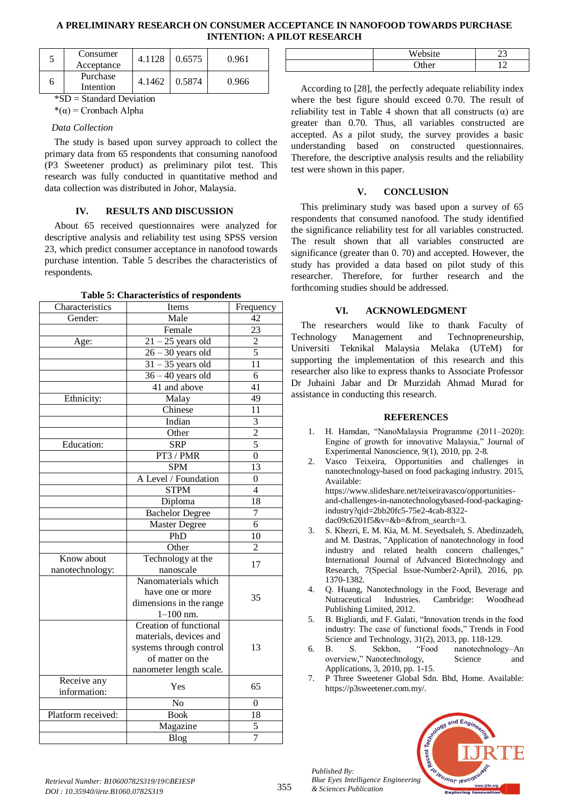# **A PRELIMINARY RESEARCH ON CONSUMER ACCEPTANCE IN NANOFOOD TOWARDS PURCHASE INTENTION: A PILOT RESEARCH**

| Consumer<br>Acceptance | 4.1128 | 0.6575 | 0.961 |
|------------------------|--------|--------|-------|
| Purchase<br>Intention  | 4.1462 | 0.5874 | 0.966 |

\*SD = Standard Deviation

# $*(\alpha)$  = Cronbach Alpha

#### *Data Collection*

The study is based upon survey approach to collect the primary data from 65 respondents that consuming nanofood (P3 Sweetener product) as preliminary pilot test. This research was fully conducted in quantitative method and data collection was distributed in Johor, Malaysia.

#### **IV. RESULTS AND DISCUSSION**

About 65 received questionnaires were analyzed for descriptive analysis and reliability test using SPSS version 23, which predict consumer acceptance in nanofood towards purchase intention. Table 5 describes the characteristics of respondents.

**Table 5: Characteristics of respondents**

|                    | rable 5. Characteristics or respondents |                 |
|--------------------|-----------------------------------------|-----------------|
| Characteristics    | Items                                   | Frequency       |
| Gender:            | Male                                    | $\overline{42}$ |
|                    | Female                                  | $\overline{23}$ |
| Age:               | $\overline{21-25}$ years old            | $\overline{2}$  |
|                    | $26 - 30$ years old                     | 5               |
|                    | $31 - 35$ years old                     | 11              |
|                    | $36 - 40$ years old                     | 6               |
|                    | 41 and above                            | $\overline{41}$ |
| Ethnicity:         | Malay                                   | 49              |
|                    | Chinese                                 | 11              |
|                    | Indian                                  | $\overline{3}$  |
|                    | Other                                   | $\overline{2}$  |
| <b>Education:</b>  | $\overline{\text{SRP}}$                 | $\overline{5}$  |
|                    | PT3 / PMR                               | $\overline{0}$  |
|                    | <b>SPM</b>                              | 13              |
|                    | A Level / Foundation                    | $\theta$        |
|                    | <b>STPM</b>                             | $\overline{4}$  |
|                    | Diploma                                 | $\overline{18}$ |
|                    | <b>Bachelor Degree</b>                  | $\overline{7}$  |
|                    | <b>Master Degree</b>                    | $\overline{6}$  |
|                    | PhD                                     | 10              |
|                    | Other                                   | $\overline{2}$  |
| Know about         | Technology at the                       |                 |
| nanotechnology:    | nanoscale                               | 17              |
|                    | Nanomaterials which                     |                 |
|                    | have one or more                        | 35              |
|                    | dimensions in the range                 |                 |
|                    | $1-100$ nm.                             |                 |
|                    | <b>Creation of functional</b>           |                 |
|                    | materials, devices and                  |                 |
|                    | systems through control                 | 13              |
|                    | of matter on the                        |                 |
|                    | nanometer length scale.                 |                 |
| Receive any        | Yes                                     | 65              |
| information:       |                                         |                 |
|                    | $\overline{No}$                         | $\theta$        |
| Platform received: | <b>Book</b>                             | $\overline{18}$ |
|                    | Magazine                                | 5               |
|                    | Blog                                    | 7               |

| ٠<br><b>TTT</b><br>'n |  |
|-----------------------|--|
| . .<br>--<br>.        |  |

According to [28], the perfectly adequate reliability index where the best figure should exceed 0.70. The result of reliability test in Table 4 shown that all constructs  $(\alpha)$  are greater than 0.70. Thus, all variables constructed are accepted. As a pilot study, the survey provides a basic understanding based on constructed questionnaires. Therefore, the descriptive analysis results and the reliability test were shown in this paper.

# **V. CONCLUSION**

This preliminary study was based upon a survey of 65 respondents that consumed nanofood. The study identified the significance reliability test for all variables constructed. The result shown that all variables constructed are significance (greater than 0. 70) and accepted. However, the study has provided a data based on pilot study of this researcher. Therefore, for further research and the forthcoming studies should be addressed.

# **VI. ACKNOWLEDGMENT**

The researchers would like to thank Faculty of Technology Management and Technopreneurship, Universiti Teknikal Malaysia Melaka (UTeM) for supporting the implementation of this research and this researcher also like to express thanks to Associate Professor Dr Juhaini Jabar and Dr Murzidah Ahmad Murad for assistance in conducting this research.

#### **REFERENCES**

- 1. H. Hamdan, "NanoMalaysia Programme (2011–2020): Engine of growth for innovative Malaysia," Journal of Experimental Nanoscience, 9(1), 2010, pp. 2-8.
- 2. Vasco Teixeira, Opportunities and challenges in nanotechnology-based on food packaging industry. 2015, Available: https://www.slideshare.net/teixeiravasco/opportunitiesand-challenges-in-nanotechnologybased-food-packaging-

industry?qid=2bb20fc5-75e2-4cab-8322 dac09c6201f5&v=&b=&from\_search=3.

- 3. S. Khezri, E. M. Kia, M. M. Seyedsaleh, S. Abedinzadeh, and M. Dastras, "Application of nanotechnology in food industry and related health concern challenges," International Journal of Advanced Biotechnology and Research, 7(Special Issue-Number2-April), 2016, pp. 1370-1382.
- 4. Q. Huang, Nanotechnology in the Food, Beverage and Nutraceutical Industries. Cambridge: Woodhead Publishing Limited, 2012.
- 5. B. Bigliardi, and F. Galati, "Innovation trends in the food industry: The case of functional foods," Trends in Food
- Science and Technology, 31(2), 2013, pp. 118-129.<br>B. S. Sekhon, "Food nanotechnolog 6. B. S. Sekhon, "Food nanotechnology–An overview," Nanotechnology, Science and Applications, 3, 2010, pp. 1-15.
- 7. P Three Sweetener Global Sdn. Bhd, Home. Available: https://p3sweetener.com.my/.



*Published By:*

*& Sciences Publication*